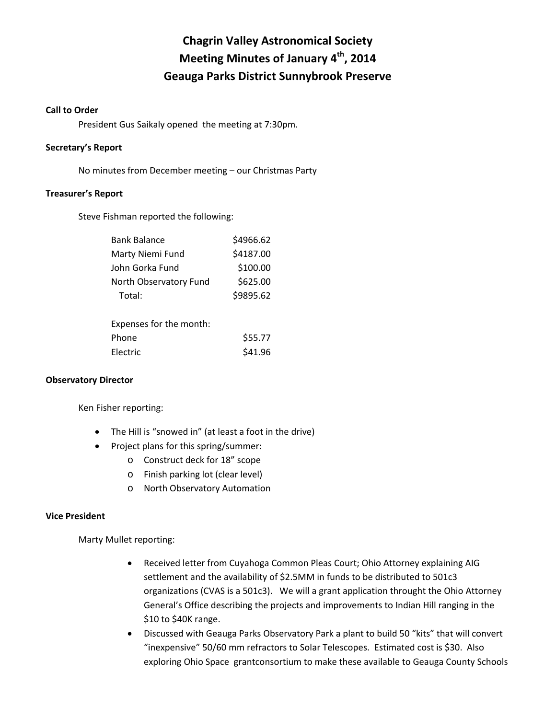# **Chagrin Valley Astronomical Society Meeting Minutes of January 4th, 2014 Geauga Parks District Sunnybrook Preserve**

#### **Call to Order**

President Gus Saikaly opened the meeting at 7:30pm.

#### **Secretary's Report**

No minutes from December meeting – our Christmas Party

#### **Treasurer's Report**

Steve Fishman reported the following:

| <b>Bank Balance</b>     | \$4966.62 |
|-------------------------|-----------|
| Marty Niemi Fund        | \$4187.00 |
| John Gorka Fund         | \$100.00  |
| North Observatory Fund  | \$625.00  |
| Total:                  | \$9895.62 |
| Expenses for the month: |           |
| Phone                   | \$55.77   |
| Electric                | \$41.96   |

#### **Observatory Director**

Ken Fisher reporting:

- The Hill is "snowed in" (at least a foot in the drive)
- Project plans for this spring/summer:
	- o Construct deck for 18" scope
	- o Finish parking lot (clear level)
	- o North Observatory Automation

#### **Vice President**

Marty Mullet reporting:

- Received letter from Cuyahoga Common Pleas Court; Ohio Attorney explaining AIG settlement and the availability of \$2.5MM in funds to be distributed to 501c3 organizations (CVAS is a 501c3). We will a grant application throught the Ohio Attorney General's Office describing the projects and improvements to Indian Hill ranging in the \$10 to \$40K range.
- Discussed with Geauga Parks Observatory Park a plant to build 50 "kits" that will convert "inexpensive" 50/60 mm refractors to Solar Telescopes. Estimated cost is \$30. Also exploring Ohio Space grantconsortium to make these available to Geauga County Schools